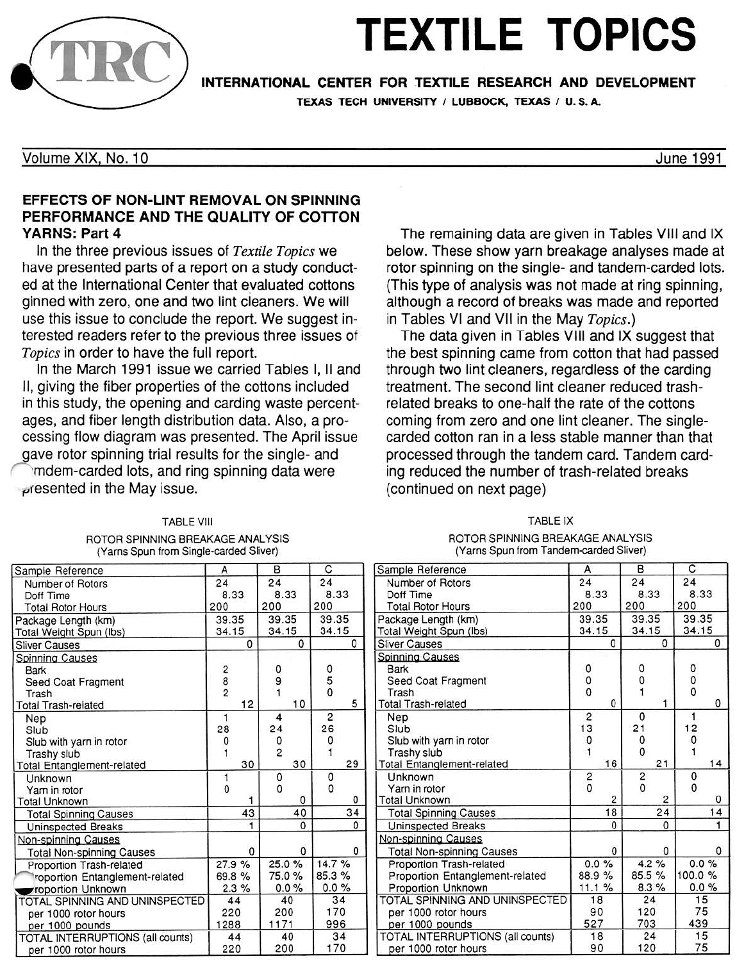

# **TEXTILE TOPICS**

INTERNATIONAL CENTER FOR TEXTILE RESEARCH AND DEVELOPMENT

TEXAS TECH UNIVERSITY / LUBBOCK, TEXAS / U.S.A.

Volume XIX, No. 10

June 1991

### EFFECTS OF NON-LINT REMOVAL ON SPINNING PERFORMANCE AND THE QUALITY OF COTTON YARNS: Part 4

In the three previous issues of *Textile Topics* we have presented parts of a report on a study conducted at the International Center that evaluated cottons ginned with zero, one and two lint cleaners. We will use this issue to conclude the report. We suggest interested readers refer to the previous three issues of Topics in order to have the full report.

In the March 1991 issue we carried Tables I, II and II, giving the fiber properties of the cottons included in this study, the opening and carding waste percentages, and fiber length distribution data. Also, a processing flow diagram was presented. The April issue gave rotor spinning trial results for the single- and

0 mdem-carded lots, and ring spinning data were ~(esented in the May issue.

## The remaining data are given in Tables VIII and IX below. These show yarn breakage analyses made at rotor spinning on the single- and tandem-carded lots. (This type of analysis was not made at ring spinning, although a record of breaks was made and reported in Tables VI and VII in the May Topics.)

The data given in Tables VIII and IX suggest that the best spinning came from cotton that had passed through two lint cleaners, regardless of the carding treatment. The second lint cleaner reduced trashrelated breaks to one-half the rate of the cottons coming from zero and one lint cleaner. The singlecarded cotton ran in a less stable manner than that processed through the tandem card. Tandem carding reduced the number of trash-related breaks (continued on next page)

#### TABLE VIII ROTOR SPINNING BREAKAGE ANALYSIS (Yarns Spun from Single-carded Sliver)

TABLE IX ROTOR SPINNING BREAKAGE ANALYSIS (Yarns Spun from Tandem-carded Sliver)

| Sample Reference                  | А             | B              | С              | Sample Reference                  | А              | в              | C            |
|-----------------------------------|---------------|----------------|----------------|-----------------------------------|----------------|----------------|--------------|
| Number of Rotors                  | 24            | 24             | 24             | Number of Rotors                  | 24             | 24             | 24           |
| Doff Time                         | 8.33          | 8.33           | 8.33           | Doff Time                         | 8.33           | 8.33           | 8.33         |
| <b>Total Rotor Hours</b>          | 200           | 200            | 200            | <b>Total Rotor Hours</b>          | 200            | 200            | 200          |
| Package Length (km)               | 39.35         | 39.35          | 39.35          | Package Length (km)               | 39.35          | 39.35          | 39.35        |
| Total Weight Spun (lbs)           | 34.15         | 34.15          | 34.15          | Total Weight Spun (lbs)           | 34.15          | 34.15          | 34.15        |
| <b>Sliver Causes</b>              | 0             | $\Omega$       | 0              | <b>Sliver Causes</b>              | 0              | $\Omega$       | 0            |
| Spinning Causes                   |               |                |                | Spinning Causes                   |                |                |              |
| Bark                              | 2             | 0              | 0              | Bark                              | 0              | 0              | 0            |
| Seed Coat Fragment                | $\frac{8}{2}$ | 9              | 5              | Seed Coat Fragment                | 0              |                | 0            |
| Trash                             |               |                | $\Omega$       | Trash                             | $\Omega$       |                | $\Omega$     |
| <b>Total Trash-related</b>        | 12            | 10             | 5              | <b>Total Trash-related</b>        | $\Omega$       |                | 0            |
| Nep                               |               | 4              | $\overline{c}$ | Nep                               | $\overline{c}$ | $\Omega$       |              |
| Slub                              | 28            | 24             | 26             | Slub                              | 13             | 21             | 12           |
| Slub with yarn in rotor           | O             | 0              |                | Slub with yarn in rotor           | $\Omega$       | 0              |              |
| Trashy slub                       |               | $\overline{c}$ |                | Trashy slub                       |                | $\Omega$       |              |
| <b>Total Entanglement-related</b> | 30            | 30             | 29             | <b>Total Entanglement-related</b> | 16             | 21             | 14           |
| Unknown                           |               | 0              | 0              | <b>Unknown</b>                    | 2              | 2              | 0            |
| Yam in rotor                      | $\Omega$      | 0              | $\Omega$       | Yam in rotor                      | $\mathbf 0$    | $\Omega$       | $\Omega$     |
| <b>Total Unknown</b>              |               | 0              | 0              | <b>Total Unknown</b>              | 2              | $\overline{c}$ | 0            |
| <b>Total Spinning Causes</b>      | 43            | 40             | 34             | <b>Total Spinning Causes</b>      | 18             | 24             | 14           |
| Uninspected Breaks                |               | $\Omega$       | $\Omega$       | Uninspected Breaks                | $\Omega$       | $\Omega$       | $\mathbf{1}$ |
| Non-spinning Causes               |               |                |                | Non-spinning Causes               |                |                |              |
| <b>Total Non-spinning Causes</b>  | 0             | 0              | $\mathbf{0}$   | Total Non-spinning Causes         | $\Omega$       | 0              | $\Omega$     |
| Proportion Trash-related          | 27.9%         | 25.0%          | 14.7%          | Proportion Trash-related          | 0.0%           | 4.2%           | $0.0\%$      |
| roportion Entanglement-related    | 69.8%         | 75.0%          | 85.3%          | Proportion Entanglement-related   | 88.9%          | 85.5 %         | 100.0%       |
| roportion Unknown                 | 2.3%          | $0.0\%$        | $0.0 \%$       | Proportion Unknown                | 11.1%          | 8.3%           | 0.0%         |
| TOTAL SPINNING AND UNINSPECTED    | 44            | 40             | 34             | TOTAL SPINNING AND UNINSPECTED    | 18             | 24             | 15           |
| per 1000 rotor hours              | 220           | 200            | 170            | per 1000 rotor hours              | 90             | 120            | 75           |
| per 1000 pounds                   | 1288          | 1171           | 996            | per 1000 pounds                   | 527            | 703            | 439          |
| TOTAL INTERRUPTIONS (all counts)  | 44            | 40             | 34             | TOTAL INTERRUPTIONS (all counts)  | 18             | 24             | 15           |
| per 1000 rotor hours              | 220           | 200            | 170            | per 1000 rotor hours              | 90             | 120            | 75           |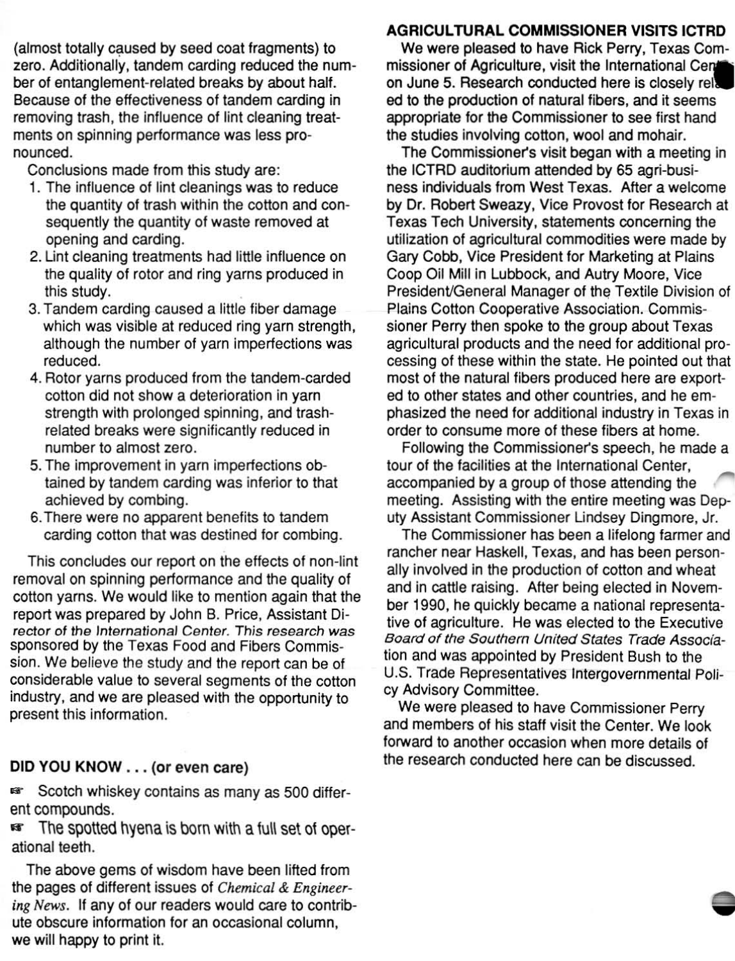(almost totally caused by seed coat fragments) to zero. Additionally, tandem carding reduced the num· ber of entanglement-related breaks by about half. Because of the effectiveness of tandem carding in removing trash, the influence of lint cleaning treatments on spinning performance was less pronounced.

Conclusions made from this study are:

- 1. The influence of lint cleanings was to reduce the quantity of trash within the cotton and consequently the quantity of waste removed at opening and carding.
- 2. Unt cleaning treatments had little influence on the quality of rotor and ring yarns produced in this study. .
- 3. Tandem carding caused a little fiber damage which was visible at reduced ring yarn strength, although the number of yarn imperfections was reduced.
- 4. Rotor yarns produced from the tandem-carded cotton did not show a deterioration in yarn strength with prolonged spinning, and trashrelated breaks were significantly reduced in number to almost zero.
- 5. The improvement in yarn imperfections obtained by tandem carding was inferior to that achieved by combing.
- 6. There were no apparent benefits to tandem carding cotton that was destined for combing.

This concludes our report on the effects of non-lint removal on spinning periormance and the quality of cotton yarns. We would like to mention again that the report was prepared by John B. Price, Assistant Director of the International Center. This research was sponsored by the Texas Food and Fibers Commission. We believe the study and the report can be of considerable value to several segments of the cotton industry, and we are pleased with the opportunity to present this information.

#### DID YOU KNOW ... (or even care)

**EXECORDIGHT Scotch whiskey contains as many as 500 differ**ent compounds.

**Example:** The spotted hyena is born with a full set of operational teeth.

The above gems of wisdom have been lifted from the pages of different issues of *Chemical* & *Engineering News.* If any of our readers would care to contribute obscure information for an occasional column, we will happy to print it.

#### **AGRICULTURAL COMMISSIONER VISITS ICTRD**

We were pleased to have Rick Perry, Texas Commissioner of Agriculture, visit the International Cen on June 5. Research conducted here is closely rei. ed to the production of natural fibers, and it seems appropriate for the Commissioner to see first hand the studies involving cotton, wool and mohair.

The Commissioner's visit began with a meeting in the ICTRD auditorium attended by 65 agri-business individuals from West Texas. After a welcome by Dr. Robert Sweazy, Vice Provost for Research at Texas Tech University, statements concerning the utilization of agricultural commodities were made by Gary Cobb, Vice President for Marketing at Plains Coop Oil Mill in Lubbock, and Autry Moore, Vice President/General Manager of the Textile Division of Plains Cotton Cooperative Association. Commissioner Perry then spoke to the group about Texas agricultural products and the need for additional processing of these within the state. He painted out that most of the natural fibers produced here are exported to other states and other countries, and he emphasized the need for additional industry in Texas in order to consume more of these fibers at home.

Following the Commissioner's speech, he made a tour of the facilities at the International Center, accompanied by a group of those attending the meeting. Assisting with the entire meeting was Deputy Assistant Commissioner Lindsey Dingmore, Jr.

The Commissioner has been a lifelong farmer and rancher near Haskell, Texas, and has been personally involved in the production of cotton and wheat and in cattle raising. After being elected in November 1990. he quickly became a nalional representative of agriculture. He was elected to the Executive Board of the Southern United States Trade Association and was appointed by President Bush to the U.S. Trade Representatives Intergovernmental Policy Advisory Committee.

We were pleased to have Commissioner Perry and members of his staff visit the Center. We look forward to another occasion when more details of the research conducted here can be discussed.

-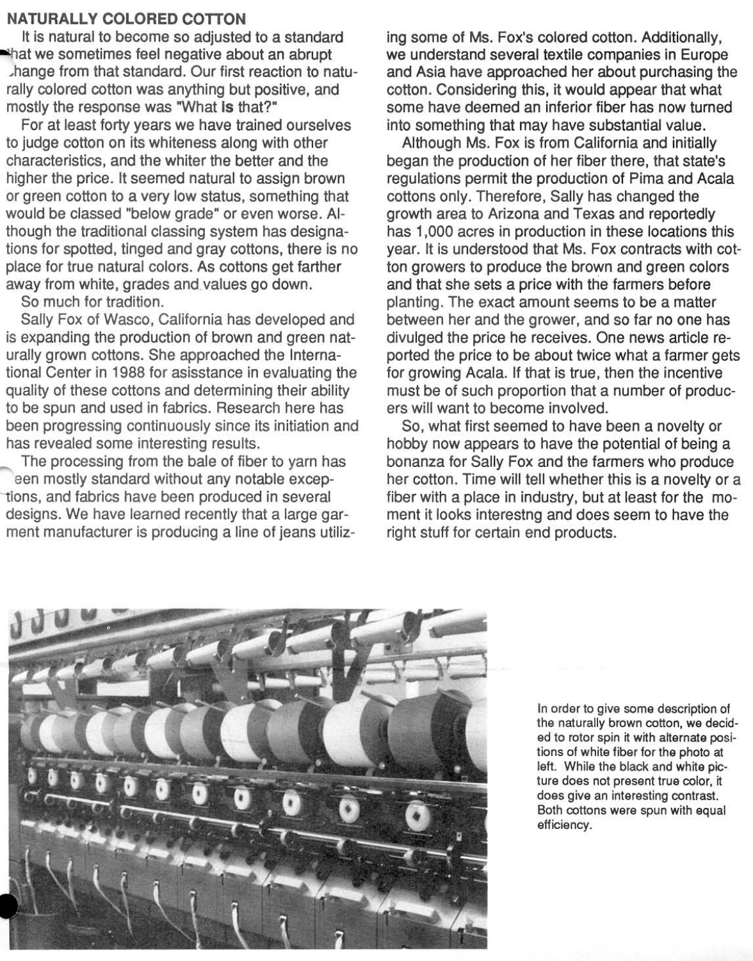#### NATURALLY COLORED COTTON

It is natural to become so adjusted to a standard that we sometimes feel negative about an abrupt .hange from that standard. Our first reaction to naturally colored cotton was anything but positive, and mostly the response was "What Is that?"

For at least forty years we have trained ourselves to judge cotton on its whiteness along with other characteristics, and the whiter the better and the higher the price. It seemed natural to assign brown or green cotton to a very low status, something that would be classed "below grade" or even worse. Although the traditional classing system has designations for spotted, tinged and gray cottons, there is no place for true natural colors. As cottons get farther away from white, grades and. values go down.

So much for tradition.

Sally Fox of Wasco, California has developed and is expanding the production of brown and green naturally grown cottons. She approached the International Center in 1988 for asisstance in evaluating the quality of these cottons and determining their ability to be spun and used in fabrics. Research here has been progressing continuously since its initiation and has revealed some interesting results.

The processing from the bale of fiber to yarn has een mostly standard without any notable exceptions, and fabrics have been produced in several designs. We have learned recently that a large garment manufacturer is producing a line of jeans utiliz-

ing some of Ms. Fox's colored cotton. Additionally, we understand several textile companies in Europe and Asia have approached her about purchasing the cotton. Considering this, it would appear that what some have deemed an inferior fiber has now turned into something that may have substantial value.

Although Ms. Fox is from California and initially began the production of her fiber there, that state's regulations permit the production of Pima and Acala cottons only. Therefore, Sally has changed the growth area to Arizona and Texas and reportedly has 1,000 acres in production in these locations this year. It is understood that Ms. Fox contracts with cotton growers to produce the brown and green colors and that she sets a price with the farmers before planting. The exact amount seems to be a matter between her and the grower, and so far no one has divulged the price he receives. One news article reported the price to be about twice what a farmer gets for growing Acala. If that is true, then the incentive must be of such proportion that a number of producers will want to become involved.

So, what first seemed to have been a novelty or hobby now appears to have the potential of being a bonanza for Sally Fox and the farmers who produce her cotton. Time will tell whether this is a novelty or a fiber with a place in industry, but at least for the moment it looks interestng and does seem to have the right stuff for certain end products.



In order to give some description of the naturally brown cotton, we decided to rotor spin it with alternate positions of white fiber for the photo at left. While the black and white picture does not present true color, it does give an interesting contrast. Both cottons were spun with equal efficiency.